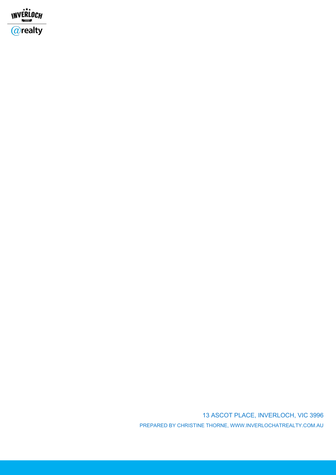

13 ASCOT PLACE, INVERLOCH, VIC 3996 PREPARED BY CHRISTINE THORNE, WWW.INVERLOCHATREALTY.COM.AU